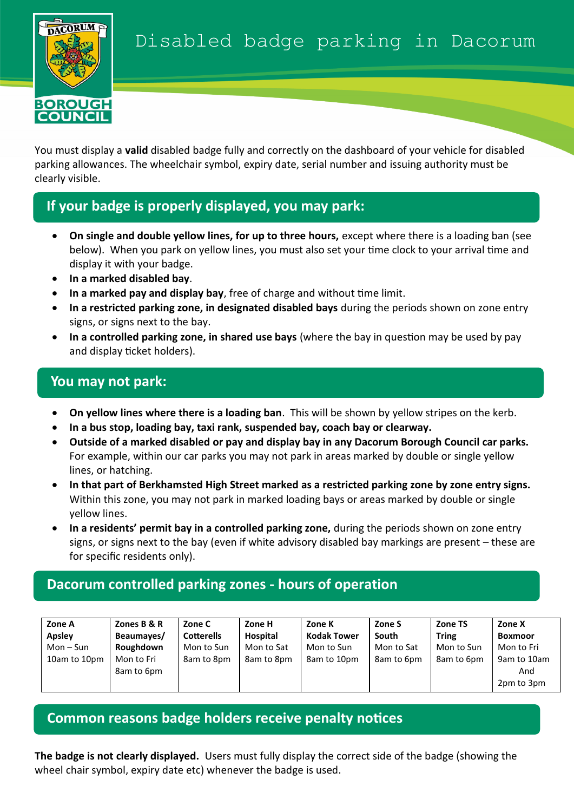

You must display a **valid** disabled badge fully and correctly on the dashboard of your vehicle for disabled parking allowances. The wheelchair symbol, expiry date, serial number and issuing authority must be clearly visible.

# **If your badge is properly displayed, you may park:**

- **On single and double yellow lines, for up to three hours, except where there is a loading ban (see** below). When you park on yellow lines, you must also set your time clock to your arrival time and display it with your badge.
- **In a marked disabled bay**.
- **In a marked pay and display bay**, free of charge and without time limit.
- **In a restricted parking zone, in designated disabled bays** during the periods shown on zone entry signs, or signs next to the bay.
- **In a controlled parking zone, in shared use bays** (where the bay in question may be used by pay and display ticket holders).

### **You may not park:**

- **On yellow lines where there is a loading ban**. This will be shown by yellow stripes on the kerb.
- **In a bus stop, loading bay, taxi rank, suspended bay, coach bay or clearway.**
- **Outside of a marked disabled or pay and display bay in any Dacorum Borough Council car parks.**  For example, within our car parks you may not park in areas marked by double or single yellow lines, or hatching.
- **In that part of Berkhamsted High Street marked as a restricted parking zone by zone entry signs.** Within this zone, you may not park in marked loading bays or areas marked by double or single yellow lines.
- **In a residents' permit bay in a controlled parking zone,** during the periods shown on zone entry signs, or signs next to the bay (even if white advisory disabled bay markings are present – these are for specific residents only).

## **Dacorum controlled parking zones - hours of operation**

| Zone A        | Zones B & R              | Zone C            | Zone H     | Zone K             | Zone S     | <b>Zone TS</b> | Zone X                           |
|---------------|--------------------------|-------------------|------------|--------------------|------------|----------------|----------------------------------|
| <b>Apsley</b> | Beaumayes/               | <b>Cotterells</b> | Hospital   | <b>Kodak Tower</b> | South      | <b>Tring</b>   | <b>Boxmoor</b>                   |
| Mon – Sun     | Roughdown                | Mon to Sun        | Mon to Sat | Mon to Sun         | Mon to Sat | Mon to Sun     | Mon to Fri                       |
| 10am to 10pm  | Mon to Fri<br>8am to 6pm | 8am to 8pm        | 8am to 8pm | 8am to 10pm        | 8am to 6pm | 8am to 6pm     | 9am to 10am<br>And<br>2pm to 3pm |

### **Common reasons badge holders receive penalty notices**

**The badge is not clearly displayed.** Users must fully display the correct side of the badge (showing the wheel chair symbol, expiry date etc) whenever the badge is used.